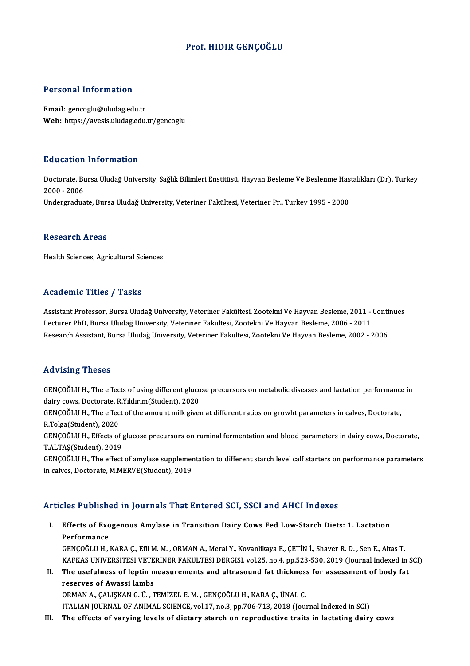### Prof.HIDIR GENÇOĞLU

### Personal Information

Email: gencoglu@uludag.edu.tr Web: https://avesis.uludag.edu.tr/gencoglu

### Education Information

**Education Information**<br>Doctorate, Bursa Uludağ University, Sağlık Bilimleri Enstitüsü, Hayvan Besleme Ve Beslenme Hastalıkları (Dr), Turkey<br>2000– 2006 2000001<br>Doctorate, Bu<br>2000 - 2006<br>Undergradue 2000 - 2006<br>Undergraduate, Bursa Uludağ University, Veteriner Fakültesi, Veteriner Pr., Turkey 1995 - 2000

#### **Research Areas**

Health Sciences, Agricultural Sciences

### Academic Titles / Tasks

Assistant Professor, Bursa Uludağ University, Veteriner Fakültesi, Zootekni Ve Hayvan Besleme, 2011 - Continues Lecturer Pressor, Bursa Uludağ University, Veteriner Fakültesi, Zootekni Ve Hayvan Besleme, 2011 -<br>Lecturer PhD, Bursa Uludağ University, Veteriner Fakültesi, Zootekni Ve Hayvan Besleme, 2006 - 2011<br>Besearsh Assistant, Bur Assistant Professor, Bursa Uludağ University, Veteriner Fakültesi, Zootekni Ve Hayvan Besleme, 2011 - Conti<br>Lecturer PhD, Bursa Uludağ University, Veteriner Fakültesi, Zootekni Ve Hayvan Besleme, 2006 - 2011<br>Research Assis Research Assistant, Bursa Uludağ University, Veteriner Fakültesi, Zootekni Ve Hayvan Besleme, 2002 - 2006<br>Advising Theses

Advising Theses<br>GENÇOĞLU H., The effects of using different glucose precursors on metabolic diseases and lactation performance in<br>dainy cavis. Pecterate, B.Yıldırım (Student), 2020 rea viology<br>GENÇOĞLU H., The effects of using different gluco<br>dairy cows, Doctorate, R.Yıldırım(Student), 2020<br>GENCOĞLU H., The effect of the amount milk giver GENÇOĞLU H., The effects of using different glucose precursors on metabolic diseases and lactation performance<br>dairy cows, Doctorate, R.Yıldırım(Student), 2020<br>GENÇOĞLU H., The effect of the amount milk given at different

dairy cows, Doctorate, R<br>GENÇOĞLU H., The effec<br>R.Tolga(Student), 2020<br>CENCOĞLU H., Effecta ef GENÇOĞLU H., The effect of the amount milk given at different ratios on growht parameters in calves, Doctorate,<br>R.Tolga(Student), 2020<br>GENÇOĞLU H., Effects of glucose precursors on ruminal fermentation and blood parameters

R.Tolga(Student), 2020<br>GENÇOĞLU H., Effects of <sub>{</sub><br>T.ALTAŞ(Student), 2019 GENÇOĞLU H., Effects of glucose precursors on ruminal fermentation and blood parameters in dairy cows, Doctorate,<br>T.ALTAŞ(Student), 2019<br>GENÇOĞLU H., The effect of amylase supplementation to different starch level calf sta

T.ALTAŞ(Student), 2019<br>GENÇOĞLU H., The effect of amylase supplementation to different starch level calf starters on performance parameters<br>in calves, Doctorate, M.MERVE(Student), 2019

### Articles Published in Journals That Entered SCI, SSCI and AHCI Indexes

rticles Published in Journals That Entered SCI, SSCI and AHCI Indexes<br>I. Effects of Exogenous Amylase in Transition Dairy Cows Fed Low-Starch Diets: 1. Lactation<br>Perfermance *Performance*<br>Performance<br>*CENCO*ČIII H Effects of Exogenous Amylase in Transition Dairy Cows Fed Low-Starch Diets: 1. Lactation<br>Performance<br>GENÇOĞLU H., KARA Ç., Efil M. M. , ORMAN A., Meral Y., Kovanlikaya E., ÇETİN İ., Shaver R. D. , Sen E., Altas T<br>KARKAS UN

Performance<br>GENÇOĞLU H., KARA Ç., Efil M. M. , ORMAN A., Meral Y., Kovanlikaya E., ÇETİN İ., Shaver R. D. , Sen E., Altas T<br>KAFKAS UNIVERSITESI VETERINER FAKULTESI DERGISI, vol.25, no.4, pp.523-530, 2019 (Journal Indexed i GENÇOĞLU H., KARA Ç., Efil M. M. , ORMAN A., Meral Y., Kovanlikaya E., ÇETİN İ., Shaver R. D. , Sen E., Altas T.<br>KAFKAS UNIVERSITESI VETERINER FAKULTESI DERGISI, vol.25, no.4, pp.523-530, 2019 (Journal Indexed in :<br>II. The

KAFKAS UNIVERSITESI VETERINER FAKULTESI DERGISI, vol.25, no.4, pp.523-530, 2019 (Journal Indexed in SCI)<br>The usefulness of leptin measurements and ultrasound fat thickness for assessment of body fat<br>reserves of Awassi lamb II. The usefulness of leptin measurements and ultrasound fat thickness for assessment of body fat

ITALIANJOURNALOFANIMAL SCIENCE,vol.17,no.3,pp.706-713,2018 (Journal Indexed inSCI)

III. The effects of varying levels of dietary starch on reproductive traits in lactating dairy cows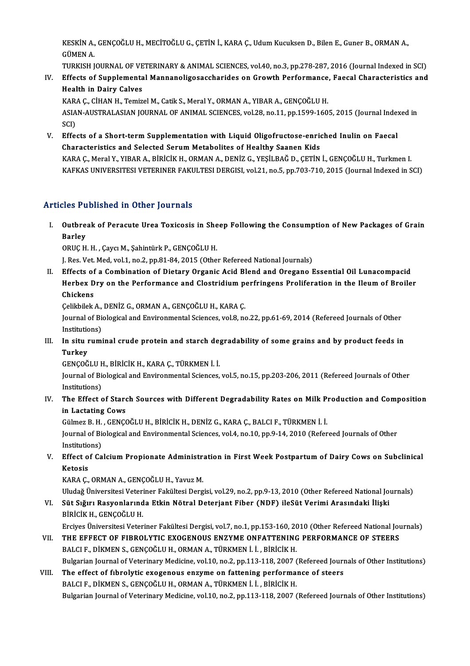KESKİN A., GENÇOĞLU H., MECİTOĞLU G., ÇETİN İ., KARA Ç., Udum Kucuksen D., Bilen E., Guner B., ORMAN A.,<br>CÜMEN A KESKİN A.,<br>GÜMEN A.<br>TURKISH I KESKİN A., GENÇOĞLU H., MECİTOĞLU G., ÇETİN İ., KARA Ç., Udum Kucuksen D., Bilen E., Guner B., ORMAN A.,<br>GÜMEN A.<br>TURKISH JOURNAL OF VETERINARY & ANIMAL SCIENCES, vol.40, no.3, pp.278-287, 2016 (Journal Indexed in SCI)<br>Eff

GÜMEN A.<br>IV. Effects of Supplemental Mannanoligosaccharides on Growth Performance, Faecal Characteristics and<br>Health in Dainy Calyes TURKISH JOURNAL OF VE<br>Effects of Supplementa<br>Health in Dairy Calves<br>KARA C. Ciuan u. Tomiz Effects of Supplemental Mannanoligosaccharides on Growth Performance<br>Health in Dairy Calves<br>KARA Ç., CİHAN H., Temizel M., Catik S., Meral Y., ORMAN A., YIBAR A., GENÇOĞLU H.<br>ASIAN AUSTRALASIAN JOURNAL OF ANIMAL SCIENCES .

Health in Dairy Calves<br>KARA Ç., CİHAN H., Temizel M., Catik S., Meral Y., ORMAN A., YIBAR A., GENÇOĞLU H.<br>ASIAN-AUSTRALASIAN JOURNAL OF ANIMAL SCIENCES, vol.28, no.11, pp.1599-1605, 2015 (Journal Indexed in<br>SCI) KAR<br>ASIA<br>SCI)<br>Effe

V. Effects of a Short-term Supplementation with Liquid Oligofructose-enriched Inulin on Faecal Characteristics and Selected Serum Metabolites of Healthy Saanen Kids KARAÇ.,MeralY.,YIBARA.,BİRİCİKH.,ORMANA.,DENİZG.,YEŞİLBAĞD.,ÇETİNİ.,GENÇOĞLUH.,TurkmenI. KAFKAS UNIVERSITESI VETERINER FAKULTESI DERGISI, vol.21, no.5, pp.703-710, 2015 (Journal Indexed in SCI)

### Articles Published in Other Journals

rticles Published in Other Journals<br>I. Outbreak of Peracute Urea Toxicosis in Sheep Following the Consumption of New Packages of Grain<br>Rarlow Sico I de<br>Outbre<br>Barley<br>O<sup>DUC H</sup> Outbreak of Peracute Urea Toxicosis in She<br>Barley<br>ORUÇ H. H. , Çaycı M., Şahintürk P., GENÇOĞLU H.<br>L. Bes Vet Med val 1 na 2 nn 91 94 2015 (Other

Barley<br>ORUÇ H. H. , Çaycı M., Şahintürk P., GENÇOĞLU H.<br>J. Res. Vet. Med, vol.1, no.2, pp.81-84, 2015 (Other Refereed National Journals)

ORUÇ H. H. , Çaycı M., Şahintürk P., GENÇOĞLU H.<br>I. Res. Vet. Med, vol.1, no.2, pp.81-84, 2015 (Other Refereed National Journals)<br>II. Effects of a Combination of Dietary Organic Acid Blend and Oregano Essential Oil Lunacom J. Res. Vet. Med, vol.1, no.2, pp.81-84, 2015 (Other Refereed National Journals)<br>Effects of a Combination of Dietary Organic Acid Blend and Oregano Essential Oil Lunacompacid<br>Herbex Dry on the Performance and Clostridium p Effects of<br>Herbex D<br>Chickens<br>Colibilek Herbex Dry on the Performance and Clostridium p<br>Chickens<br>Çelikbilek A., DENİZ G., ORMAN A., GENÇOĞLU H., KARA Ç.<br>Journal of Piological and Environmental Sciences vol 8, ne

Çelikbilek A., DENİZ G., ORMAN A., GENÇOĞLU H., KARA Ç.

Chickens<br>Çelikbilek A., DENİZ G., ORMAN A., GENÇOĞLU H., KARA Ç.<br>Journal of Biological and Environmental Sciences, vol.8, no.22, pp.61-69, 2014 (Refereed Journals of Other<br>Institutions) Journal of Biological and Environmental Sciences, vol.8, no.22, pp.61-69, 2014 (Refereed Journals of Other<br>Institutions)<br>III. In situ ruminal crude protein and starch degradability of some grains and by product feeds in<br>Tu

Institutio<br>I<mark>n situ 1</mark><br>Turkey<br>CENCOČ In situ ruminal crude protein and starch de<sub>l</sub><br>Turkey<br>GENÇOĞLU H., BİRİCİK H., KARA Ç., TÜRKMEN İ. İ.<br>Journal of Biologiasl and Environmental Ssiances

Turkey<br>GENÇOĞLU H., BİRİCİK H., KARA Ç., TÜRKMEN İ. İ.<br>Journal of Biological and Environmental Sciences, vol.5, no.15, pp.203-206, 2011 (Refereed Journals of Other<br>Institutions) GENÇOĞLU H<br>Journal of Bio<br>Institutions)<br>The Effect o Journal of Biological and Environmental Sciences, vol.5, no.15, pp.203-206, 2011 (Refereed Journals of Other<br>Institutions)<br>IV. The Effect of Starch Sources with Different Degradability Rates on Milk Production and Composit

## Institutions)<br>The Effect of Stard<br>in Lactating Cows<br>Cülmer B. H., CENCC The Effect of Starch Sources with Different Degradability Rates on Milk P<br>in Lactating Cows<br>Gülmez B. H. , GENÇOĞLU H., BİRİCİK H., DENİZ G., KARA Ç., BALCI F., TÜRKMEN İ. İ.<br>Journal of Biologiaal and Environmental Ssianee

Gülmez B. H., GENÇOĞLU H., BİRİCİK H., DENİZ G., KARA Ç., BALCI F., TÜRKMEN İ. İ.

in Lactating Cows<br>Gülmez B. H. , GENÇOĞLU H., BİRİCİK H., DENİZ G., KARA Ç., BALCI F., TÜRKMEN İ. İ.<br>Journal of Biological and Environmental Sciences, vol.4, no.10, pp.9-14, 2010 (Refereed Journals of Other Institutions)

### V. Effect of Calcium Propionate Administration in First Week Postpartum of Dairy Cows on Subclinical<br>Ketosis Ketosis<br>KARA Ç., ORMAN A., GENÇOĞLU H., Yavuz M.<br>Uludağ Üniversitesi Veteriner Fakültesi Dergisi, vol.29, no.2, pp.9-13, 2010 (Other Refereed National Journals)<br>Süt Sığını Pasyonlarında Etkin Nötral Deteriant Eiber (NDE) i

KARAÇ., ORMAN A., GENÇOĞLU H., Yavuz M.

KARA Ç., ORMAN A., GENÇOĞLU H., Yavuz M.<br>Uludağ Üniversitesi Veteriner Fakültesi Dergisi, vol.29, no.2, pp.9-13, 2010 (Other Refereed National Jo<br>VI. Süt Sığırı Rasyonlarında Etkin Nötral Deterjant Fiber (NDF) ileSüt V Uludağ Üniversitesi Veteri<br>Süt Sığırı Rasyonlarınd<br>BİRİCİK H., GENÇOĞLU H.<br>Ensiyes Üniversitesi Veter VI Süt Sığırı Rasyonlarında Etkin Nötral Deterjant Fiber (NDF) ileSüt Verimi Arasındaki İlişki<br>BİRİCİK H., GENÇOĞLU H.<br>Erciyes Üniversitesi Veteriner Fakültesi Dergisi, vol.7, no.1, pp.153-160, 2010 (Other Refereed Nationa

VII. THE EFFECT OF FIBROLYTIC EXOGENOUS ENZYME ONFATTENING PERFORMANCE OF STEERS

BALCI F., DİKMEN S., GENÇOĞLU H., ORMAN A., TÜRKMEN İ. İ. , BİRİCİK H. Bulgarian Journal of Veterinary Medicine, vol.10, no.2, pp.113-118, 2007 (Refereed Journals of Other Institutions)

### VIII. The effect of fibrolytic exogenous enzyme on fattening performance of steers BALCIF., DİKMEN S., GENÇOĞLU H., ORMAN A., TÜRKMEN İ. İ., BİRİCİK H. Bulgarian Journal of Veterinary Medicine, vol.10, no.2, pp.113-118, 2007 (Refereed Journals of Other Institutions)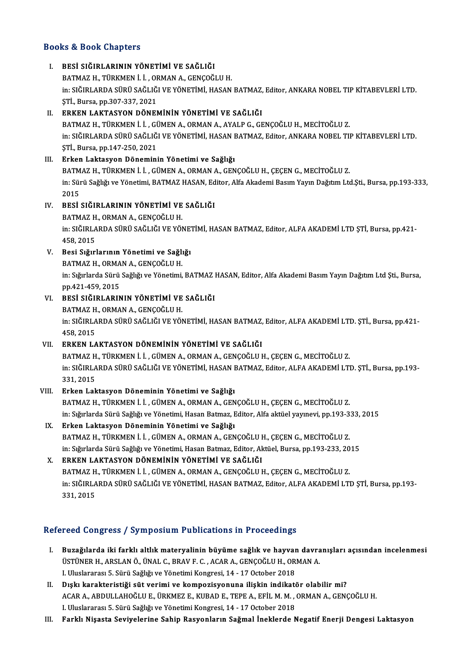### Books&Book Chapters

### I. BESİ SIĞIRLARININ YÖNETİMİ VE SAĞLIĞI 15 & 5331 SMAPESI<br>BESİ SIĞIRLARININ YÖNETİMİ VE SAĞLIĞI<br>BATMAZ H., TÜRKMEN İ. İ. , ORMAN A., GENÇOĞLU H.<br>in: SIĞIRI ARDA SÜRÜ SAĞLIĞI VE YÖNETIMİ HASAN BESİ SIĞIRLARININ YÖNETİMİ VE SAĞLIĞI<br>BATMAZ H., TÜRKMEN İ. İ. , ORMAN A., GENÇOĞLU H.<br>in: SIĞIRLARDA SÜRÜ SAĞLIĞI VE YÖNETİMİ, HASAN BATMAZ, Editor, ANKARA NOBEL TIP KİTABEVLERİ LTD.<br>STİ. Burga ap 207 227 2021 BATMAZ H., TÜRKMEN İ. İ. , OF<br>in: SIĞIRLARDA SÜRÜ SAĞLIĞ<br>ŞTİ., Bursa, pp.307-337, 2021<br>ERKEN I AKTASYON DÖNEL I . SIĞIRLARDA SÜRÜ SAĞLIĞI VE YÖNETİMİ, HASAN BATMAZ,<br>5Tİ., Bursa, pp.307-337, 2021<br>II. ERKEN LAKTASYON DÖNEMİNİN YÖNETİMİ VE SAĞLIĞI<br>PATMAZ H. TÜRKMENLİ L. CÜMEN A. ORMAN A. AYALB.C. CE ŞTİ., Bursa, pp.307-337, 2021<br><mark>ERKEN LAKTASYON DÖNEMİNİN YÖNETİMİ VE SAĞLIĞ</mark>I<br>BATMAZ H., TÜRKMEN İ. İ. , GÜMEN A., ORMAN A., AYALP G., GENÇOĞLU H., MECİTOĞLU Z.<br>in. SIĞIRLARDA SÜRÜ SAĞLIĞLVE YÖNETIMİ, HASAN BATMAZ, Editor II. ERKEN LAKTASYON DÖNEMİNİN YÖNETİMİ VE SAĞLIĞI<br>BATMAZ H., TÜRKMEN İ. İ. , GÜMEN A., ORMAN A., AYALP G., GENÇOĞLU H., MECİTOĞLU Z.<br>in: SIĞIRLARDA SÜRÜ SAĞLIĞI VE YÖNETİMİ, HASAN BATMAZ, Editor, ANKARA NOBEL TIP KİTABEVLE BATMAZ H., TÜRKMEN İ. İ. , Gİ<br>in: SIĞIRLARDA SÜRÜ SAĞLIĞ<br>ŞTİ., Bursa, pp.147-250, 2021<br>Erken Laktasyon Dönemini III. Erken Laktasyon Döneminin Yönetimi ve Sağlığı BATMAZH., TÜRKMENİİ. GÜMENA., ORMANA., GENÇOĞLUH., ÇEÇENG., MECİTOĞLUZ. Erken Laktasyon Döneminin Yönetimi ve Sağlığı<br>BATMAZ H., TÜRKMEN İ. İ. , GÜMEN A., ORMAN A., GENÇOĞLU H., ÇEÇEN G., MECİTOĞLU Z.<br>in: Sürü Sağlığı ve Yönetimi, BATMAZ HASAN, Editor, Alfa Akademi Basım Yayın Dağıtım Ltd.Şti. **BATM**<br>in: Sün<br>2015<br>PESİ In: Sürü Sağlığı ve Yönetimi, BATMAZ HASAN, Ed<br>2015<br>IV. BESİ SIĞIRLARININ YÖNETİMİ VE SAĞLIĞI<br>BATMAZ HODMAN A CENCOĞLU H 2015<br>BESİ SIĞIRLARININ YÖNETİMİ VE<br>BATMAZ H., ORMAN A., GENÇOĞLU H.<br>in: SIĞIBI APDA SÜPÜ SAĞI IĞI VE YÖL BESİ SIĞIRLARININ YÖNETİMİ VE SAĞLIĞI<br>BATMAZ H., ORMAN A., GENÇOĞLU H.<br>in: SIĞIRLARDA SÜRÜ SAĞLIĞI VE YÖNETİMİ, HASAN BATMAZ, Editor, ALFA AKADEMİ LTD ŞTİ, Bursa, pp.421-<br>458-2015 BATMAZ H<br>in: SIĞIRLA<br>458, 2015<br>Posi Sığırl V. Besi Sığırlarının Yönetimi ve Sağlığı 458, 2015<br>Besi Sığırlarının Yönetimi ve Sağlı<br>BATMAZ H., ORMAN A., GENÇOĞLU H.<br>in: Sığırlarda Sürü Sağlığı ve Yönetimi in: Sığırlarda Sürü Sağlığı ve Yönetimi, BATMAZ HASAN, Editor, Alfa Akademi Basım Yayın Dağıtım Ltd Şti., Bursa,<br>pp.421-459, 2015 BATMAZ H., ORMA<br>in: Sığırlarda Sürü<br>pp.421-459, 2015<br>PESİ SIĞIPI APIN in: Sığırlarda Sürü Sağlığı ve Yönetimi, BATMAZ I<br>pp.421-459, 2015<br>VI. BESİ SIĞIRLARININ YÖNETİMİ VE SAĞLIĞI<br>PATMAZ U. OPMAN A. CENCOĞLU U pp.421-459, 2015<br><mark>BESİ SIĞIRLARININ YÖNETİMİ VE</mark><br>BATMAZ H., ORMAN A., GENÇOĞLU H.<br>in: SIĞIRI ARDA SÜRÜ SAĞI IĞI VE YÖ in: SIĞIRLARDA SÜRÜ SAĞLIĞI VE YÖNETİMİ, HASAN BATMAZ, Editor, ALFA AKADEMİ LTD. ŞTİ., Bursa, pp.421-<br>458, 2015 BATMAZ H., ORMAN A., GENÇOĞLU H. VII. ERKEN LAKTASYON DÖNEMİNİN YÖNETİMİ VE SAĞLIĞI BATMAZ H., TÜRKMEN İ. İ., GÜMEN A., ORMAN A., GENÇOĞLU H., ÇEÇEN G., MECİTOĞLU Z. ERKEN LAKTASYON DÖNEMİNİN YÖNETİMİ VE SAĞLIĞI<br>BATMAZ H., TÜRKMEN İ. İ. , GÜMEN A., ORMAN A., GENÇOĞLU H., ÇEÇEN G., MECİTOĞLU Z.<br>in: SIĞIRLARDA SÜRÜ SAĞLIĞI VE YÖNETİMİ, HASAN BATMAZ, Editor, ALFA AKADEMİ LTD. ŞTİ., Bursa, BATMAZ H<br>in: SIĞIRLA<br>331, 2015<br>Erkon Lok 331, 2015<br>VIII. Erken Laktasyon Döneminin Yönetimi ve Sağlığı BATMAZ H., TÜRKMEN İ. İ., GÜMEN A., ORMAN A., GENÇOĞLU H., ÇEÇEN G., MECİTOĞLU Z. Erken Laktasyon Döneminin Yönetimi ve Sağlığı<br>BATMAZ H., TÜRKMEN İ. İ. , GÜMEN A., ORMAN A., GENÇOĞLU H., ÇEÇEN G., MECİTOĞLU Z.<br>in: Sığırlarda Sürü Sağlığı ve Yönetimi, Hasan Batmaz, Editor, Alfa aktüel yayınevi, pp.193-3 IX. Erken Laktasyon Döneminin Yönetimi ve Sağlığı in: Sığırlarda Sürü Sağlığı ve Yönetimi, Hasan Batmaz, Editor, Alfa aktüel yayınevi, pp.193-3<br><mark>Erken Laktasyon Döneminin Yönetimi ve Sağlığı</mark><br>BATMAZ H., TÜRKMEN İ. İ. , GÜMEN A., ORMAN A., GENÇOĞLU H., ÇEÇEN G., MECİTOĞLU Erken Laktasyon Döneminin Yönetimi ve Sağlığı<br>BATMAZ H., TÜRKMEN İ. İ. , GÜMEN A., ORMAN A., GENÇOĞLU H., ÇEÇEN G., MECİTOĞLU Z.<br>in: Sığırlarda Sürü Sağlığı ve Yönetimi, Hasan Batmaz, Editor, Aktüel, Bursa, pp.193-233, 201 BATMAZ H., TÜRKMEN İ. İ. , GÜMEN A., ORMAN A., GENÇOĞLU I<br>in: Sığırlarda Sürü Sağlığı ve Yönetimi, Hasan Batmaz, Editor, Ak<br>X. ERKEN LAKTASYON DÖNEMİNİN YÖNETİMİ VE SAĞLIĞI<br>PATMAZ H. TÜRKMEN İ. İ. CÜMEN A. ORMAN A. GENCOĞL in: Sığırlarda Sürü Sağlığı ve Yönetimi, Hasan Batmaz, Editor, Aktüel, Bursa, pp.193-233, 20<br><mark>ERKEN LAKTASYON DÖNEMİNİN YÖNETİMİ VE SAĞLIĞ</mark>I<br>BATMAZ H., TÜRKMEN İ. İ. , GÜMEN A., ORMAN A., GENÇOĞLU H., ÇEÇEN G., MECİTOĞLU Z X. ERKEN LAKTASYON DÖNEMİNİN YÖNETİMİ VE SAĞLIĞI<br>BATMAZ H., TÜRKMEN İ. İ. , GÜMEN A., ORMAN A., GENÇOĞLU H., ÇEÇEN G., MECİTOĞLU Z.<br>in: SIĞIRLARDA SÜRÜ SAĞLIĞI VE YÖNETİMİ, HASAN BATMAZ, Editor, ALFA AKADEMİ LTD ŞTİ, Bursa BATMAZ H., TÜRKMEN İ. İ., GÜMEN A., ORMAN A., GENÇOĞLU H., ÇEÇEN G., MECİTOĞLU Z. Refereed Congress / Symposium Publications in Proceedings

- efereed Congress / Symposium Publications in Proceedings<br>I. Buzağılarda iki farklı altlık materyalinin büyüme sağlık ve hayvan davranışları açısından incelenmesi<br>Tistihup y ARSLANÖ ÜNALG PRAVE GACARA CENCOČLU YARANAA TUCU ÜÜNERI ÜSTÜNERI TERLETININ TERLETININ TERLETININ SOLUTUSU<br>ÜSTÜNER H., ARSLAN Ö., ÜNAL C., BRAV F. C. , ACAR A., GENÇOĞLU H., ORMAN A.<br>U Uluslararası E. Sürü Sağlığı ve Yönetimi Kongresi 14, 17 Ostober 2019 ÜSTÜNER H., ARSLAN Ö., ÜNAL C., BRAV F. C. , ACAR A., GENÇOĞLU H., ORMAN A.<br>I. Uluslararası 5. Sürü Sağlığı ve Yönetimi Kongresi, 14 - 17 October 2018 USTUNER H., ARSLAN Ö., UNAL C., BRAV F. C. , ACAR A., GENÇOĞLU H., ORMAN A.<br>I. Uluslararası 5. Sürü Sağlığı ve Yönetimi Kongresi, 14 - 17 October 2018<br>II. Dışkı karakteristiği süt verimi ve kompozisyonuna ilişkin indikatör
- ACAR A., ABDULLAHOĞLU E., ÜRKMEZ E., KUBAD E., TEPE A., EFİL M. M. , ORMAN A., GENÇOĞLU H.<br>I. Uluslararası 5. Sürü Sağlığı ve Yönetimi Kongresi, 14 17 October 2018 Dışkı karakteristiği süt verimi ve kompozisyonuna ilişkin indikati<br>ACAR A., ABDULLAHOĞLU E., ÜRKMEZ E., KUBAD E., TEPE A., EFİL M. M. ,<br>I. Uluslararası 5. Sürü Sağlığı ve Yönetimi Kongresi, 14 - 17 October 2018<br>Farklı Nisa
- III. Farklı Nişasta Seviyelerine Sahip Rasyonların Sağmal İneklerde Negatif Enerji Dengesi Laktasyon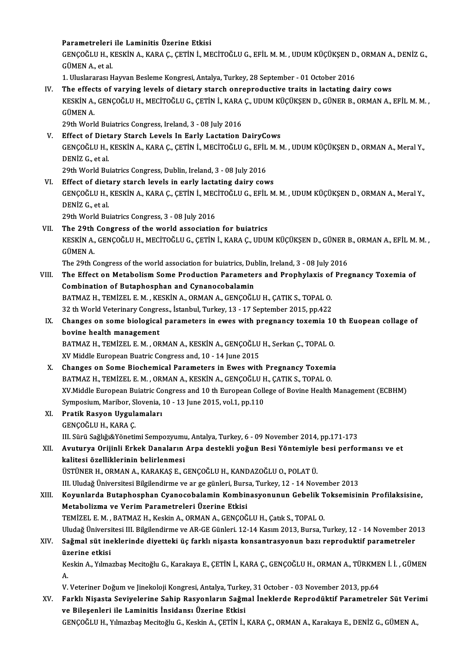### Parametreleri ile Laminitis Üzerine Etkisi

Parametreleri ile Laminitis Üzerine Etkisi<br>GENÇOĞLU H., KESKİN A., KARA Ç., ÇETİN İ., MECİTOĞLU G., EFİL M. M. , UDUM KÜÇÜKŞEN D., ORMAN A., DENİZ G.,<br>SÜMEN A. etel Parametreleri<br>GENÇOĞLU H., K<br>GÜMEN A., et al.<br>1. Uluelaranası H GENÇOĞLU H., KESKİN A., KARA Ç., ÇETİN İ., MECİTOĞLU G., EFİL M. M. , UDUM KÜÇÜKŞEN D.<br>GÜMEN A., et al.<br>1. Uluslararası Hayvan Besleme Kongresi, Antalya, Turkey, 28 September - 01 October 2016<br>The effects of varying lovels

GÜMEN A., et al.<br>1. Uluslararası Hayvan Besleme Kongresi, Antalya, Turkey, 28 September - 01 October 2016<br>IV. The effects of varying levels of dietary starch onreproductive traits in lactating dairy cows 1. Uluslararası Hayvan Besleme Kongresi, Antalya, Turkey, 28 September - 01 October 2016<br>The effects of varying levels of dietary starch onreproductive traits in lactating dairy cows<br>KESKİN A., GENÇOĞLU H., MECİTOĞLU G., Ç The effec<br>KESKİN A.,<br>GÜMEN A.<br>20th Work KESKİN A., GENÇOĞLU H., MECİTOĞLU G., ÇETİN İ., KARA<br>GÜMEN A.<br>29th World Buiatrics Congress, Ireland, 3 - 08 July 2016<br>Effect of Dietary Starch Layels In Farly Lastation I GÜMEN A.<br>29th World Buiatrics Congress, Ireland, 3 - 08 July 2016<br>V. Effect of Dietary Starch Levels In Early Lactation DairyCows

- 29th World Buiatrics Congress, Ireland, 3 08 July 2016<br>Effect of Dietary Starch Levels In Early Lactation DairyCows<br>GENÇOĞLU H., KESKİN A., KARA Ç., ÇETİN İ., MECİTOĞLU G., EFİL M. M. , UDUM KÜÇÜKŞEN D., ORMAN A., Meral Effect of Diet<br>GENÇOĞLU H.,<br>DENİZ G., et al.<br>20th World Bu GENÇOĞLU H., KESKİN A., KARA Ç., ÇETİN İ., MECİTOĞLU G., EFİL<br>DENİZ G., et al.<br>29th World Buiatrics Congress, Dublin, Ireland, 3 - 08 July 2016<br>Effect of distany stareh lavels in eqaly lastating dainy sev DENİZ G., et al.<br>29th World Buiatrics Congress, Dublin, Ireland, 3 - 08 July 2016<br>VI. Effect of dietary starch levels in early lactating dairy cows
- 

29th World Buiatrics Congress, Dublin, Ireland, 3 - 08 July 2016<br>Effect of dietary starch levels in early lactating dairy cows<br>GENÇOĞLU H., KESKİN A., KARA Ç., ÇETİN İ., MECİTOĞLU G., EFİL M. M. , UDUM KÜÇÜKŞEN D., ORMAN A Effect of dieta<br>GENÇOĞLU H.,<br>DENİZ G., et al.<br>20th World Bu GENÇOĞLU H., KESKİN A., KARA Ç., ÇETİN İ., MEC<br>DENİZ G., et al.<br>29th World Buiatrics Congress, 3 - 08 July 2016<br>The 20th Congress, of the world association

DENİZ G., et al.<br>29th World Buiatrics Congress, 3 - 08 July 2016<br>VII. The 29th Congress of the world association for buiatrics<br>VESVIN A CENCOČULH MECITOČULE CETINI LYARA C. UDU 29th World Buiatrics Congress, 3 - 08 July 2016<br>The 29th Congress of the world association for buiatrics<br>KESKİN A., GENÇOĞLU H., MECİTOĞLU G., ÇETİN İ., KARA Ç., UDUM KÜÇÜKŞEN D., GÜNER B., ORMAN A., EFİL M. M. ,<br>CÜMEN A The 29th<br>KESKİN A.,<br>GÜMEN A.<br>The 20th C KESKİN A., GENÇOĞLU H., MECİTOĞLU G., ÇETİN İ., KARA Ç., UDUM KÜÇÜKŞEN D., GÜNER I<br>GÜMEN A.<br>The 29th Congress of the world association for buiatrics, Dublin, Ireland, 3 - 08 July 2016<br>The Effect on Metaboliam Some Pueducti

The 29th Congress of the world association for buiatrics, Dublin, Ireland, 3 - 08 July 2016

- GÜMEN A.<br>The 29th Congress of the world association for buiatrics, Dublin, Ireland, 3 08 July 2016<br>VIII. The Effect on Metabolism Some Production Parameters and Prophylaxis of Pregnancy Toxemia of<br>Combination of Butaphos The Effect on Metabolism Some Production Parameters and Prophylaxis of<br>Combination of Butaphosphan and Cynanocobalamin<br>BATMAZ H., TEMİZEL E.M., KESKİN A., ORMAN A., GENÇOĞLU H., ÇATIK S., TOPAL O.<br>22 th World Veterinary Co 32 Combination of Butaphosphan and Cynanocobalamin<br>32 th World Veterinary Congress., İstanbul, Turkey, 13 - 17 September 2015, pp.422<br>2 th World Veterinary Congress., İstanbul, Turkey, 13 - 17 September 2015, pp.422<br>Change BATMAZ H., TEMİZEL E. M. , KESKİN A., ORMAN A., GENÇOĞLU H., ÇATIK S., TOPAL O.<br>32 th World Veterinary Congress., İstanbul, Turkey, 13 - 17 September 2015, pp.422<br>IX. Changes on some biological parameters in ewes with preg
	- 32 th World Veterinary Congress., İstanbul, Turkey, 13 17 September 2015, pp.422<br>Changes on some biological parameters in ewes with pregnancy toxemia 1<br>bovine health management Changes on some biological parameters in ewes with pregnancy toxemia 10<br>bovine health management<br>BATMAZ H., TEMİZEL E. M. , ORMAN A., KESKİN A., GENÇOĞLU H., Serkan Ç., TOPAL O.<br>YV Middle European Bustris Congress and 10,

BATMAZ H., TEMİZEL E. M. , ORMAN A., KESKİN A., GENÇOĞLU H., Serkan Ç., TOPAL O.<br>XV Middle European Buatric Congress and, 10 - 14 June 2015 BATMAZ H., TEMİZEL E. M., ORMAN A., KESKİN A., GENÇOĞLU H., Serkan Ç., TOPAL O.<br>XV Middle European Buatric Congress and, 10 - 14 June 2015<br>X. Changes on Some Biochemical Parameters in Ewes with Pregnancy Toxemia<br>BATMAZ H.

- XV Middle European Buatric Congress and, 10 14 June 2015<br>Changes on Some Biochemical Parameters in Ewes with Pregnancy Toxemic<br>BATMAZ H., TEMİZEL E.M. , ORMAN A., KESKİN A., GENÇOĞLU H., ÇATIK S., TOPAL O.<br>YV Middle Euro BATMAZ H., TEMİZEL E. M. , ORMAN A., KESKİN A., GENÇOĞLU H., ÇATIK S., TOPAL O.<br>XV.Middle European Buiatric Congress and 10 th European College of Bovine Health Management (ECBHM) BATMAZ H., TEMİZEL E. M. , ORMAN A., KESKİN A., GENÇOĞLU F.<br>XV.Middle European Buiatric Congress and 10 th European Coll<br>Symposium, Maribor, Slovenia, 10 - 13 June 2015, vol.1, pp.110<br>Pratik Bosyon Hysulamaları
- XI. Pratik Rasyon Uygulamaları Symposium, Maribor, Sl<br><mark>Pratik Rasyon Uygul:</mark><br>GENÇOĞLU H., KARA Ç.<br>III. Sürü Soğlığı&Väneti: Pratik Rasyon Uygulamaları<br>GENÇOĞLU H., KARA Ç.<br>III. Sürü Sağlığı&Yönetimi Sempozyumu, Antalya, Turkey, 6 - 09 November 2014, pp.171-173<br>Ayutunya Onijinli Enkek Danaların Anna dastakli yağın Basi Vöntamiyle basi parfaı
- XII. Avuturya Orijinli Erkek Danaların Arpa destekli yoğun Besi Yöntemiyle besi performansı ve et<br>kalitesi özelliklerinin belirlenmesi III. Sürü Sağlığı&Yönetimi Sempozyumu<br><mark>Avuturya Orijinli Erkek Danaların</mark><br>kalitesi özelliklerinin belirlenmesi<br>ÜSTÜNER H. ORMAN A. KARAKAS E. G ÜSTÜNER H., ORMAN A., KARAKAŞ E., GENÇOĞLU H., KANDAZOĞLU O., POLAT Ü.

III. Uludağ Üniversitesi Bilgilendirme ve ar ge günleri, Bursa, Turkey, 12 - 14 November 2013

ÜSTÜNER H., ORMAN A., KARAKAŞ E., GENÇOĞLU H., KANDAZOĞLU O., POLAT Ü.<br>III. Uludağ Üniversitesi Bilgilendirme ve ar ge günleri, Bursa, Turkey, 12 - 14 November 2013<br>XIII. Koyunlarda Butaphosphan Cyanocobalamin Kombinas Metabolizma ve Verim Parametreleri Üzerine Etkisi<br>TEMİZEL E. M. , BATMAZ H., Keskin A., ORMAN A., GENÇOĞLU H., Çatık S., TOPAL O. Koyunlarda Butaphosphan Cyanocobalamin Kombinasyonunun Gebelik T<br>Metabolizma ve Verim Parametreleri Üzerine Etkisi<br>TEMİZEL E. M. , BATMAZ H., Keskin A., ORMAN A., GENÇOĞLU H., Çatık S., TOPAL O.<br>Uludağ Üniversitesi III. Bi Metabolizma ve Verim Parametreleri Üzerine Etkisi<br>TEMİZEL E. M. , BATMAZ H., Keskin A., ORMAN A., GENÇOĞLU H., Çatık S., TOPAL O.<br>Uludağ Üniversitesi III. Bilgilendirme ve AR-GE Günleri. 12-14 Kasım 2013, Bursa, Turkey, 12

### XIV. Sağmal süt ineklerinde diyetteki üç farklı nişasta konsantrasyonun bazı reproduktif parametreler Uludağ Üniversi<br>S<mark>ağmal süt ine</mark><br>üzerine etkisi Sağmal süt ineklerinde diyetteki üç farklı nişasta konsantrasyonun bazı reproduktif parametreler<br>üzerine etkisi<br>Keskin A., Yılmazbaş Mecitoğlu G., Karakaya E., ÇETİN İ., KARA Ç., GENÇOĞLU H., ORMAN A., TÜRKMEN İ. İ. , GÜME üz<br>Ke<br>A.

Keskin A., Yılmazbaş Mecitoğlu G., Karakaya E., ÇETİN İ., KARA Ç., GENÇOĞLU H., ORMAN A., TÜRKME<br>A.<br>V. Veteriner Doğum ve Jinekoloji Kongresi, Antalya, Turkey, 31 October - 03 November 2013, pp.64<br>Farklı Nisasta Seviyalari

V. Veteriner Doğum ve Jinekoloji Kongresi, Antalya, Turkey, 31 October - 03 November 2013, pp.64

# A.<br>V. Veteriner Doğum ve Jinekoloji Kongresi, Antalya, Turkey, 31 October - 03 November 2013, pp.64<br>XV. Farklı Nişasta Seviyelerine Sahip Rasyonların Sağmal İneklerde Reprodüktif Parametreler Süt Verimi<br>ve Bileşenleri il

GENÇOĞLU H., Yılmazbaş Mecitoğlu G., Keskin A., ÇETİN İ., KARA Ç., ORMAN A., Karakaya E., DENİZ G., GÜMEN A.,